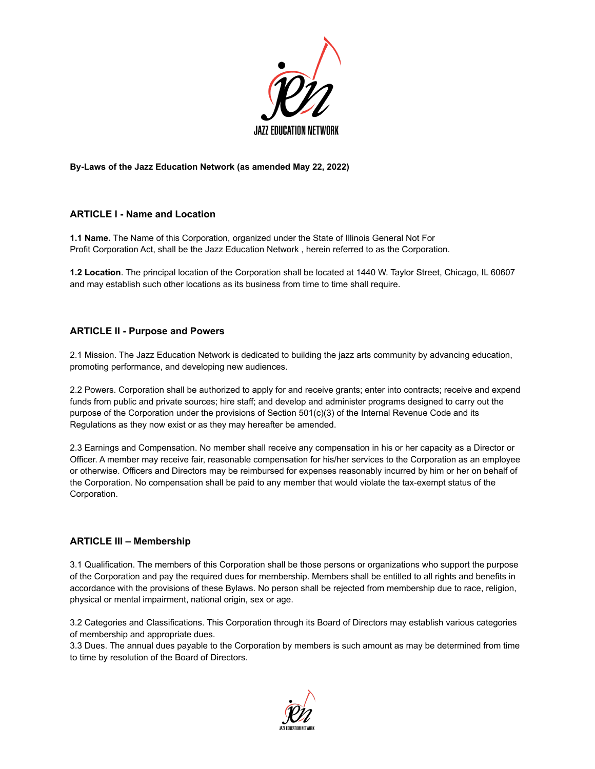

### **By-Laws of the Jazz Education Network (as amended May 22, 2022)**

## **ARTICLE I - Name and Location**

**1.1 Name.** The Name of this Corporation, organized under the State of Illinois General Not For Profit Corporation Act, shall be the Jazz Education Network , herein referred to as the Corporation.

**1.2 Location**. The principal location of the Corporation shall be located at 1440 W. Taylor Street, Chicago, IL 60607 and may establish such other locations as its business from time to time shall require.

## **ARTICLE II - Purpose and Powers**

2.1 Mission. The Jazz Education Network is dedicated to building the jazz arts community by advancing education, promoting performance, and developing new audiences.

2.2 Powers. Corporation shall be authorized to apply for and receive grants; enter into contracts; receive and expend funds from public and private sources; hire staff; and develop and administer programs designed to carry out the purpose of the Corporation under the provisions of Section 501(c)(3) of the Internal Revenue Code and its Regulations as they now exist or as they may hereafter be amended.

2.3 Earnings and Compensation. No member shall receive any compensation in his or her capacity as a Director or Officer. A member may receive fair, reasonable compensation for his/her services to the Corporation as an employee or otherwise. Officers and Directors may be reimbursed for expenses reasonably incurred by him or her on behalf of the Corporation. No compensation shall be paid to any member that would violate the tax-exempt status of the Corporation.

## **ARTICLE III – Membership**

3.1 Qualification. The members of this Corporation shall be those persons or organizations who support the purpose of the Corporation and pay the required dues for membership. Members shall be entitled to all rights and benefits in accordance with the provisions of these Bylaws. No person shall be rejected from membership due to race, religion, physical or mental impairment, national origin, sex or age.

3.2 Categories and Classifications. This Corporation through its Board of Directors may establish various categories of membership and appropriate dues.

3.3 Dues. The annual dues payable to the Corporation by members is such amount as may be determined from time to time by resolution of the Board of Directors.

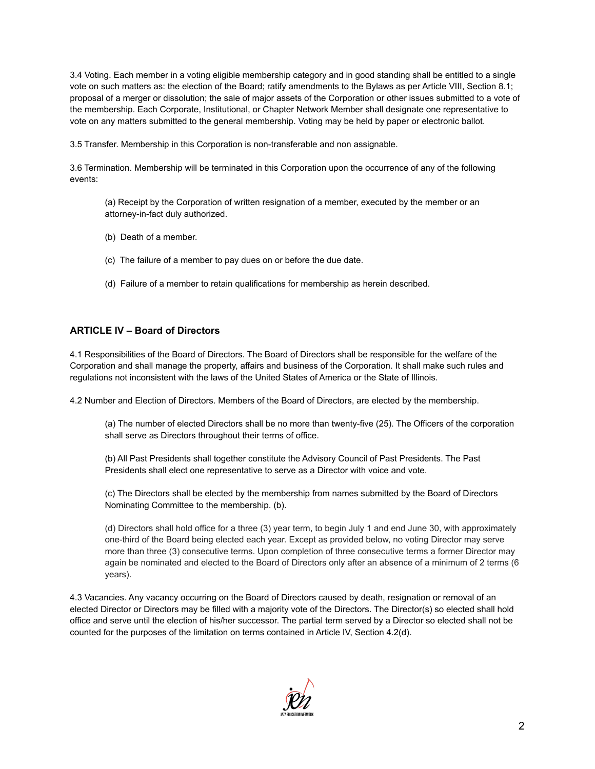3.4 Voting. Each member in a voting eligible membership category and in good standing shall be entitled to a single vote on such matters as: the election of the Board; ratify amendments to the Bylaws as per Article VIII, Section 8.1; proposal of a merger or dissolution; the sale of major assets of the Corporation or other issues submitted to a vote of the membership. Each Corporate, Institutional, or Chapter Network Member shall designate one representative to vote on any matters submitted to the general membership. Voting may be held by paper or electronic ballot.

3.5 Transfer. Membership in this Corporation is non-transferable and non assignable.

3.6 Termination. Membership will be terminated in this Corporation upon the occurrence of any of the following events:

(a) Receipt by the Corporation of written resignation of a member, executed by the member or an attorney-in-fact duly authorized.

- (b) Death of a member.
- (c) The failure of a member to pay dues on or before the due date.
- (d) Failure of a member to retain qualifications for membership as herein described.

## **ARTICLE IV – Board of Directors**

4.1 Responsibilities of the Board of Directors. The Board of Directors shall be responsible for the welfare of the Corporation and shall manage the property, affairs and business of the Corporation. It shall make such rules and regulations not inconsistent with the laws of the United States of America or the State of Illinois.

4.2 Number and Election of Directors. Members of the Board of Directors, are elected by the membership.

(a) The number of elected Directors shall be no more than twenty-five (25). The Officers of the corporation shall serve as Directors throughout their terms of office.

(b) All Past Presidents shall together constitute the Advisory Council of Past Presidents. The Past Presidents shall elect one representative to serve as a Director with voice and vote.

(c) The Directors shall be elected by the membership from names submitted by the Board of Directors Nominating Committee to the membership. (b).

(d) Directors shall hold office for a three (3) year term, to begin July 1 and end June 30, with approximately one-third of the Board being elected each year. Except as provided below, no voting Director may serve more than three (3) consecutive terms. Upon completion of three consecutive terms a former Director may again be nominated and elected to the Board of Directors only after an absence of a minimum of 2 terms (6 years).

4.3 Vacancies. Any vacancy occurring on the Board of Directors caused by death, resignation or removal of an elected Director or Directors may be filled with a majority vote of the Directors. The Director(s) so elected shall hold office and serve until the election of his/her successor. The partial term served by a Director so elected shall not be counted for the purposes of the limitation on terms contained in Article IV, Section 4.2(d).

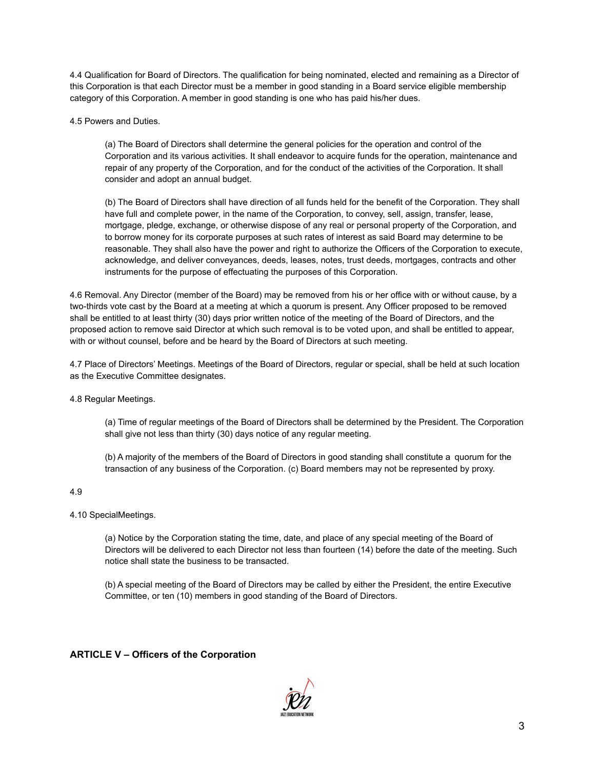4.4 Qualification for Board of Directors. The qualification for being nominated, elected and remaining as a Director of this Corporation is that each Director must be a member in good standing in a Board service eligible membership category of this Corporation. A member in good standing is one who has paid his/her dues.

4.5 Powers and Duties.

(a) The Board of Directors shall determine the general policies for the operation and control of the Corporation and its various activities. It shall endeavor to acquire funds for the operation, maintenance and repair of any property of the Corporation, and for the conduct of the activities of the Corporation. It shall consider and adopt an annual budget.

(b) The Board of Directors shall have direction of all funds held for the benefit of the Corporation. They shall have full and complete power, in the name of the Corporation, to convey, sell, assign, transfer, lease, mortgage, pledge, exchange, or otherwise dispose of any real or personal property of the Corporation, and to borrow money for its corporate purposes at such rates of interest as said Board may determine to be reasonable. They shall also have the power and right to authorize the Officers of the Corporation to execute, acknowledge, and deliver conveyances, deeds, leases, notes, trust deeds, mortgages, contracts and other instruments for the purpose of effectuating the purposes of this Corporation.

4.6 Removal. Any Director (member of the Board) may be removed from his or her office with or without cause, by a two-thirds vote cast by the Board at a meeting at which a quorum is present. Any Officer proposed to be removed shall be entitled to at least thirty (30) days prior written notice of the meeting of the Board of Directors, and the proposed action to remove said Director at which such removal is to be voted upon, and shall be entitled to appear, with or without counsel, before and be heard by the Board of Directors at such meeting.

4.7 Place of Directors' Meetings. Meetings of the Board of Directors, regular or special, shall be held at such location as the Executive Committee designates.

4.8 Regular Meetings.

(a) Time of regular meetings of the Board of Directors shall be determined by the President. The Corporation shall give not less than thirty (30) days notice of any regular meeting.

(b) A majority of the members of the Board of Directors in good standing shall constitute a quorum for the transaction of any business of the Corporation. (c) Board members may not be represented by proxy.

4.9

4.10 SpecialMeetings.

(a) Notice by the Corporation stating the time, date, and place of any special meeting of the Board of Directors will be delivered to each Director not less than fourteen (14) before the date of the meeting. Such notice shall state the business to be transacted.

(b) A special meeting of the Board of Directors may be called by either the President, the entire Executive Committee, or ten (10) members in good standing of the Board of Directors.

## **ARTICLE V – Officers of the Corporation**

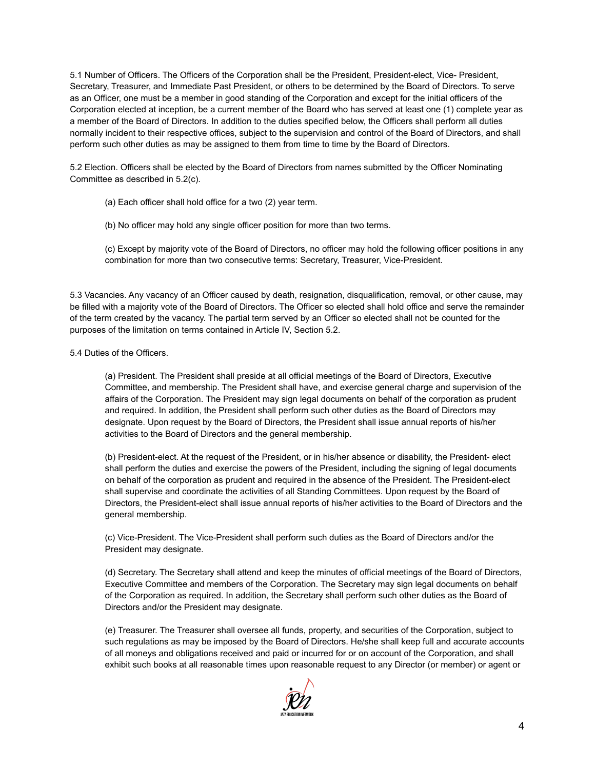5.1 Number of Officers. The Officers of the Corporation shall be the President, President-elect, Vice- President, Secretary, Treasurer, and Immediate Past President, or others to be determined by the Board of Directors. To serve as an Officer, one must be a member in good standing of the Corporation and except for the initial officers of the Corporation elected at inception, be a current member of the Board who has served at least one (1) complete year as a member of the Board of Directors. In addition to the duties specified below, the Officers shall perform all duties normally incident to their respective offices, subject to the supervision and control of the Board of Directors, and shall perform such other duties as may be assigned to them from time to time by the Board of Directors.

5.2 Election. Officers shall be elected by the Board of Directors from names submitted by the Officer Nominating Committee as described in 5.2(c).

- (a) Each officer shall hold office for a two (2) year term.
- (b) No officer may hold any single officer position for more than two terms.
- (c) Except by majority vote of the Board of Directors, no officer may hold the following officer positions in any combination for more than two consecutive terms: Secretary, Treasurer, Vice-President.

5.3 Vacancies. Any vacancy of an Officer caused by death, resignation, disqualification, removal, or other cause, may be filled with a majority vote of the Board of Directors. The Officer so elected shall hold office and serve the remainder of the term created by the vacancy. The partial term served by an Officer so elected shall not be counted for the purposes of the limitation on terms contained in Article IV, Section 5.2.

5.4 Duties of the Officers.

(a) President. The President shall preside at all official meetings of the Board of Directors, Executive Committee, and membership. The President shall have, and exercise general charge and supervision of the affairs of the Corporation. The President may sign legal documents on behalf of the corporation as prudent and required. In addition, the President shall perform such other duties as the Board of Directors may designate. Upon request by the Board of Directors, the President shall issue annual reports of his/her activities to the Board of Directors and the general membership.

(b) President-elect. At the request of the President, or in his/her absence or disability, the President- elect shall perform the duties and exercise the powers of the President, including the signing of legal documents on behalf of the corporation as prudent and required in the absence of the President. The President-elect shall supervise and coordinate the activities of all Standing Committees. Upon request by the Board of Directors, the President-elect shall issue annual reports of his/her activities to the Board of Directors and the general membership.

(c) Vice-President. The Vice-President shall perform such duties as the Board of Directors and/or the President may designate.

(d) Secretary. The Secretary shall attend and keep the minutes of official meetings of the Board of Directors, Executive Committee and members of the Corporation. The Secretary may sign legal documents on behalf of the Corporation as required. In addition, the Secretary shall perform such other duties as the Board of Directors and/or the President may designate.

(e) Treasurer. The Treasurer shall oversee all funds, property, and securities of the Corporation, subject to such regulations as may be imposed by the Board of Directors. He/she shall keep full and accurate accounts of all moneys and obligations received and paid or incurred for or on account of the Corporation, and shall exhibit such books at all reasonable times upon reasonable request to any Director (or member) or agent or

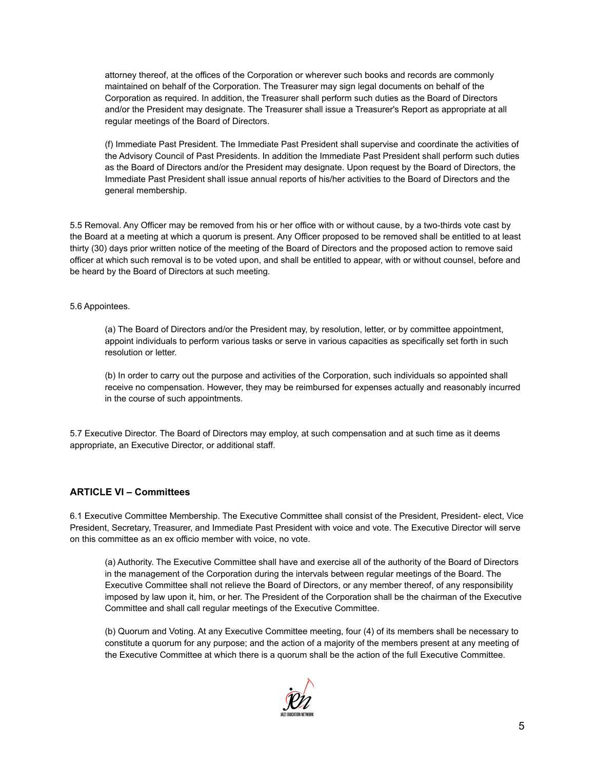attorney thereof, at the offices of the Corporation or wherever such books and records are commonly maintained on behalf of the Corporation. The Treasurer may sign legal documents on behalf of the Corporation as required. In addition, the Treasurer shall perform such duties as the Board of Directors and/or the President may designate. The Treasurer shall issue a Treasurer's Report as appropriate at all regular meetings of the Board of Directors.

(f) Immediate Past President. The Immediate Past President shall supervise and coordinate the activities of the Advisory Council of Past Presidents. In addition the Immediate Past President shall perform such duties as the Board of Directors and/or the President may designate. Upon request by the Board of Directors, the Immediate Past President shall issue annual reports of his/her activities to the Board of Directors and the general membership.

5.5 Removal. Any Officer may be removed from his or her office with or without cause, by a two-thirds vote cast by the Board at a meeting at which a quorum is present. Any Officer proposed to be removed shall be entitled to at least thirty (30) days prior written notice of the meeting of the Board of Directors and the proposed action to remove said officer at which such removal is to be voted upon, and shall be entitled to appear, with or without counsel, before and be heard by the Board of Directors at such meeting.

#### 5.6 Appointees.

(a) The Board of Directors and/or the President may, by resolution, letter, or by committee appointment, appoint individuals to perform various tasks or serve in various capacities as specifically set forth in such resolution or letter.

(b) In order to carry out the purpose and activities of the Corporation, such individuals so appointed shall receive no compensation. However, they may be reimbursed for expenses actually and reasonably incurred in the course of such appointments.

5.7 Executive Director. The Board of Directors may employ, at such compensation and at such time as it deems appropriate, an Executive Director, or additional staff.

### **ARTICLE VI – Committees**

6.1 Executive Committee Membership. The Executive Committee shall consist of the President, President- elect, Vice President, Secretary, Treasurer, and Immediate Past President with voice and vote. The Executive Director will serve on this committee as an ex officio member with voice, no vote.

(a) Authority. The Executive Committee shall have and exercise all of the authority of the Board of Directors in the management of the Corporation during the intervals between regular meetings of the Board. The Executive Committee shall not relieve the Board of Directors, or any member thereof, of any responsibility imposed by law upon it, him, or her. The President of the Corporation shall be the chairman of the Executive Committee and shall call regular meetings of the Executive Committee.

(b) Quorum and Voting. At any Executive Committee meeting, four (4) of its members shall be necessary to constitute a quorum for any purpose; and the action of a majority of the members present at any meeting of the Executive Committee at which there is a quorum shall be the action of the full Executive Committee.

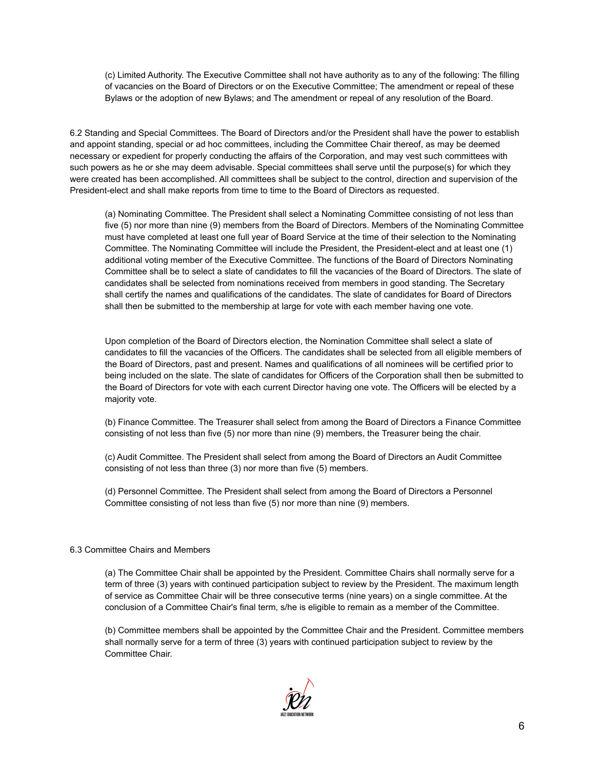(c) Limited Authority. The Executive Committee shall not have authority as to any of the following: The filling of vacancies on the Board of Directors or on the Executive Committee; The amendment or repeal of these Bylaws or the adoption of new Bylaws; and The amendment or repeal of any resolution of the Board.

6.2 Standing and Special Committees. The Board of Directors and/or the President shall have the power to establish and appoint standing, special or ad hoc committees, including the Committee Chair thereof, as may be deemed necessary or expedient for properly conducting the affairs of the Corporation, and may vest such committees with such powers as he or she may deem advisable. Special committees shall serve until the purpose(s) for which they were created has been accomplished. All committees shall be subject to the control, direction and supervision of the President-elect and shall make reports from time to time to the Board of Directors as requested.

(a) Nominating Committee. The President shall select a Nominating Committee consisting of not less than five (5) nor more than nine (9) members from the Board of Directors. Members of the Nominating Committee must have completed at least one full year of Board Service at the time of their selection to the Nominating Committee. The Nominating Committee will include the President, the President-elect and at least one (1) additional voting member of the Executive Committee. The functions of the Board of Directors Nominating Committee shall be to select a slate of candidates to fill the vacancies of the Board of Directors. The slate of candidates shall be selected from nominations received from members in good standing. The Secretary shall certify the names and qualifications of the candidates. The slate of candidates for Board of Directors shall then be submitted to the membership at large for vote with each member having one vote.

Upon completion of the Board of Directors election, the Nomination Committee shall select a slate of candidates to fill the vacancies of the Officers. The candidates shall be selected from all eligible members of the Board of Directors, past and present. Names and qualifications of all nominees will be certified prior to being included on the slate. The slate of candidates for Officers of the Corporation shall then be submitted to the Board of Directors for vote with each current Director having one vote. The Officers will be elected by a majority vote.

(b) Finance Committee. The Treasurer shall select from among the Board of Directors a Finance Committee consisting of not less than five (5) nor more than nine (9) members, the Treasurer being the chair.

(c) Audit Committee. The President shall select from among the Board of Directors an Audit Committee consisting of not less than three (3) nor more than five (5) members.

(d) Personnel Committee. The President shall select from among the Board of Directors a Personnel Committee consisting of not less than five (5) nor more than nine (9) members.

### 6.3 Committee Chairs and Members

(a) The Committee Chair shall be appointed by the President. Committee Chairs shall normally serve for a term of three (3) years with continued participation subject to review by the President. The maximum length of service as Committee Chair will be three consecutive terms (nine years) on a single committee. At the conclusion of a Committee Chair's final term, s/he is eligible to remain as a member of the Committee.

(b) Committee members shall be appointed by the Committee Chair and the President. Committee members shall normally serve for a term of three (3) years with continued participation subject to review by the Committee Chair.

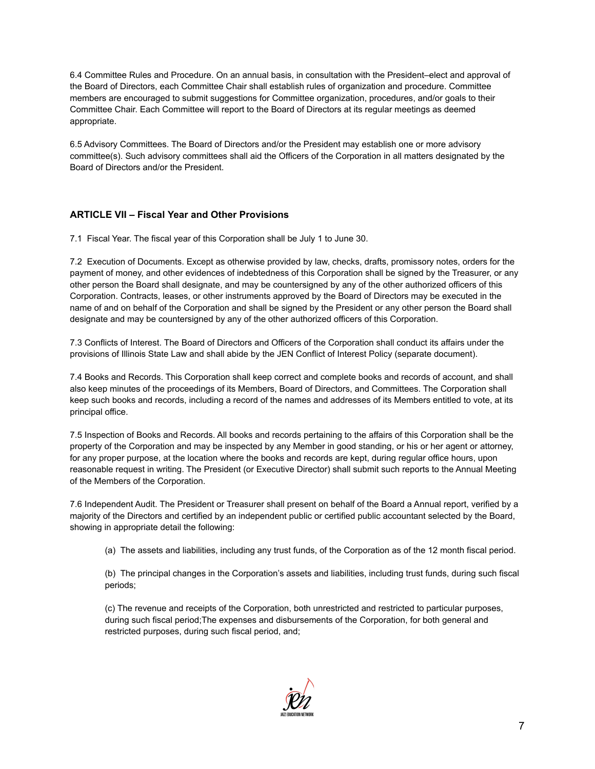6.4 Committee Rules and Procedure. On an annual basis, in consultation with the President–elect and approval of the Board of Directors, each Committee Chair shall establish rules of organization and procedure. Committee members are encouraged to submit suggestions for Committee organization, procedures, and/or goals to their Committee Chair. Each Committee will report to the Board of Directors at its regular meetings as deemed appropriate.

6.5 Advisory Committees. The Board of Directors and/or the President may establish one or more advisory committee(s). Such advisory committees shall aid the Officers of the Corporation in all matters designated by the Board of Directors and/or the President.

# **ARTICLE VII – Fiscal Year and Other Provisions**

7.1 Fiscal Year. The fiscal year of this Corporation shall be July 1 to June 30.

7.2 Execution of Documents. Except as otherwise provided by law, checks, drafts, promissory notes, orders for the payment of money, and other evidences of indebtedness of this Corporation shall be signed by the Treasurer, or any other person the Board shall designate, and may be countersigned by any of the other authorized officers of this Corporation. Contracts, leases, or other instruments approved by the Board of Directors may be executed in the name of and on behalf of the Corporation and shall be signed by the President or any other person the Board shall designate and may be countersigned by any of the other authorized officers of this Corporation.

7.3 Conflicts of Interest. The Board of Directors and Officers of the Corporation shall conduct its affairs under the provisions of Illinois State Law and shall abide by the JEN Conflict of Interest Policy (separate document).

7.4 Books and Records. This Corporation shall keep correct and complete books and records of account, and shall also keep minutes of the proceedings of its Members, Board of Directors, and Committees. The Corporation shall keep such books and records, including a record of the names and addresses of its Members entitled to vote, at its principal office.

7.5 Inspection of Books and Records. All books and records pertaining to the affairs of this Corporation shall be the property of the Corporation and may be inspected by any Member in good standing, or his or her agent or attorney, for any proper purpose, at the location where the books and records are kept, during regular office hours, upon reasonable request in writing. The President (or Executive Director) shall submit such reports to the Annual Meeting of the Members of the Corporation.

7.6 Independent Audit. The President or Treasurer shall present on behalf of the Board a Annual report, verified by a majority of the Directors and certified by an independent public or certified public accountant selected by the Board, showing in appropriate detail the following:

(a) The assets and liabilities, including any trust funds, of the Corporation as of the 12 month fiscal period.

(b) The principal changes in the Corporation's assets and liabilities, including trust funds, during such fiscal periods;

(c) The revenue and receipts of the Corporation, both unrestricted and restricted to particular purposes, during such fiscal period;The expenses and disbursements of the Corporation, for both general and restricted purposes, during such fiscal period, and;

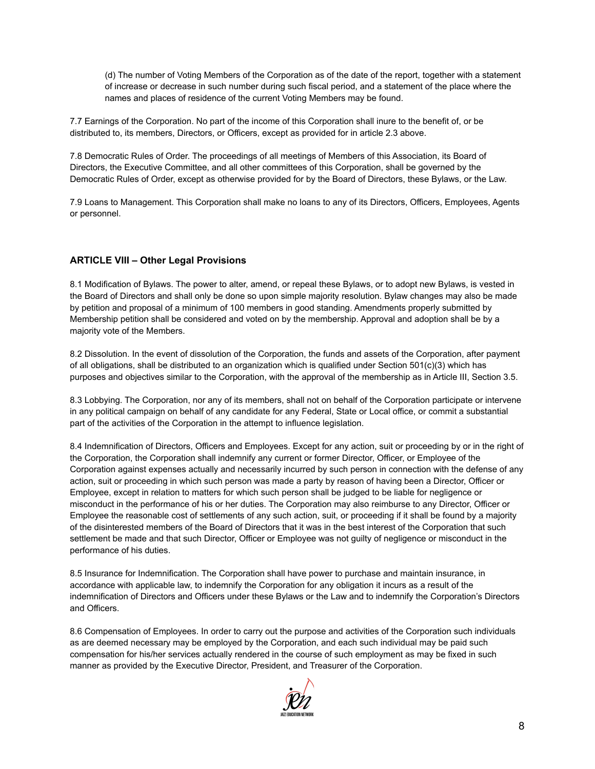(d) The number of Voting Members of the Corporation as of the date of the report, together with a statement of increase or decrease in such number during such fiscal period, and a statement of the place where the names and places of residence of the current Voting Members may be found.

7.7 Earnings of the Corporation. No part of the income of this Corporation shall inure to the benefit of, or be distributed to, its members, Directors, or Officers, except as provided for in article 2.3 above.

7.8 Democratic Rules of Order. The proceedings of all meetings of Members of this Association, its Board of Directors, the Executive Committee, and all other committees of this Corporation, shall be governed by the Democratic Rules of Order, except as otherwise provided for by the Board of Directors, these Bylaws, or the Law.

7.9 Loans to Management. This Corporation shall make no loans to any of its Directors, Officers, Employees, Agents or personnel.

# **ARTICLE VIII – Other Legal Provisions**

8.1 Modification of Bylaws. The power to alter, amend, or repeal these Bylaws, or to adopt new Bylaws, is vested in the Board of Directors and shall only be done so upon simple majority resolution. Bylaw changes may also be made by petition and proposal of a minimum of 100 members in good standing. Amendments properly submitted by Membership petition shall be considered and voted on by the membership. Approval and adoption shall be by a majority vote of the Members.

8.2 Dissolution. In the event of dissolution of the Corporation, the funds and assets of the Corporation, after payment of all obligations, shall be distributed to an organization which is qualified under Section 501(c)(3) which has purposes and objectives similar to the Corporation, with the approval of the membership as in Article III, Section 3.5.

8.3 Lobbying. The Corporation, nor any of its members, shall not on behalf of the Corporation participate or intervene in any political campaign on behalf of any candidate for any Federal, State or Local office, or commit a substantial part of the activities of the Corporation in the attempt to influence legislation.

8.4 Indemnification of Directors, Officers and Employees. Except for any action, suit or proceeding by or in the right of the Corporation, the Corporation shall indemnify any current or former Director, Officer, or Employee of the Corporation against expenses actually and necessarily incurred by such person in connection with the defense of any action, suit or proceeding in which such person was made a party by reason of having been a Director, Officer or Employee, except in relation to matters for which such person shall be judged to be liable for negligence or misconduct in the performance of his or her duties. The Corporation may also reimburse to any Director, Officer or Employee the reasonable cost of settlements of any such action, suit, or proceeding if it shall be found by a majority of the disinterested members of the Board of Directors that it was in the best interest of the Corporation that such settlement be made and that such Director, Officer or Employee was not guilty of negligence or misconduct in the performance of his duties.

8.5 Insurance for Indemnification. The Corporation shall have power to purchase and maintain insurance, in accordance with applicable law, to indemnify the Corporation for any obligation it incurs as a result of the indemnification of Directors and Officers under these Bylaws or the Law and to indemnify the Corporation's Directors and Officers.

8.6 Compensation of Employees. In order to carry out the purpose and activities of the Corporation such individuals as are deemed necessary may be employed by the Corporation, and each such individual may be paid such compensation for his/her services actually rendered in the course of such employment as may be fixed in such manner as provided by the Executive Director, President, and Treasurer of the Corporation.

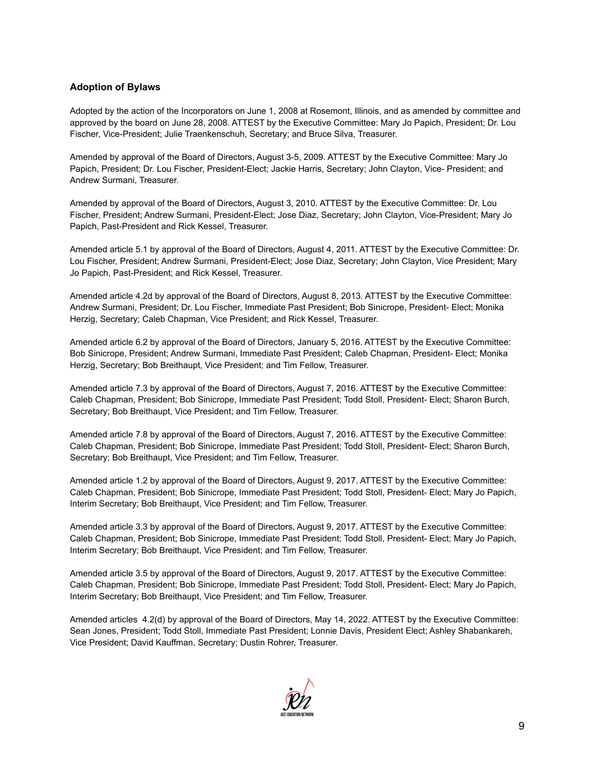### **Adoption of Bylaws**

Adopted by the action of the Incorporators on June 1, 2008 at Rosemont, Illinois, and as amended by committee and approved by the board on June 28, 2008. ATTEST by the Executive Committee: Mary Jo Papich, President; Dr. Lou Fischer, Vice-President; Julie Traenkenschuh, Secretary; and Bruce Silva, Treasurer.

Amended by approval of the Board of Directors, August 3-5, 2009. ATTEST by the Executive Committee: Mary Jo Papich, President; Dr. Lou Fischer, President-Elect; Jackie Harris, Secretary; John Clayton, Vice- President; and Andrew Surmani, Treasurer.

Amended by approval of the Board of Directors, August 3, 2010. ATTEST by the Executive Committee: Dr. Lou Fischer, President; Andrew Surmani, President-Elect; Jose Diaz, Secretary; John Clayton, Vice-President; Mary Jo Papich, Past-President and Rick Kessel, Treasurer.

Amended article 5.1 by approval of the Board of Directors, August 4, 2011. ATTEST by the Executive Committee: Dr. Lou Fischer, President; Andrew Surmani, President-Elect; Jose Diaz, Secretary; John Clayton, Vice President; Mary Jo Papich, Past-President; and Rick Kessel, Treasurer.

Amended article 4.2d by approval of the Board of Directors, August 8, 2013. ATTEST by the Executive Committee: Andrew Surmani, President; Dr. Lou Fischer, Immediate Past President; Bob Sinicrope, President- Elect; Monika Herzig, Secretary; Caleb Chapman, Vice President; and Rick Kessel, Treasurer.

Amended article 6.2 by approval of the Board of Directors, January 5, 2016. ATTEST by the Executive Committee: Bob Sinicrope, President; Andrew Surmani, Immediate Past President; Caleb Chapman, President- Elect; Monika Herzig, Secretary; Bob Breithaupt, Vice President; and Tim Fellow, Treasurer.

Amended article 7.3 by approval of the Board of Directors, August 7, 2016. ATTEST by the Executive Committee: Caleb Chapman, President; Bob Sinicrope, Immediate Past President; Todd Stoll, President- Elect; Sharon Burch, Secretary; Bob Breithaupt, Vice President; and Tim Fellow, Treasurer.

Amended article 7.8 by approval of the Board of Directors, August 7, 2016. ATTEST by the Executive Committee: Caleb Chapman, President; Bob Sinicrope, Immediate Past President; Todd Stoll, President- Elect; Sharon Burch, Secretary; Bob Breithaupt, Vice President; and Tim Fellow, Treasurer.

Amended article 1.2 by approval of the Board of Directors, August 9, 2017. ATTEST by the Executive Committee: Caleb Chapman, President; Bob Sinicrope, Immediate Past President; Todd Stoll, President- Elect; Mary Jo Papich, Interim Secretary; Bob Breithaupt, Vice President; and Tim Fellow, Treasurer.

Amended article 3.3 by approval of the Board of Directors, August 9, 2017. ATTEST by the Executive Committee: Caleb Chapman, President; Bob Sinicrope, Immediate Past President; Todd Stoll, President- Elect; Mary Jo Papich, Interim Secretary; Bob Breithaupt, Vice President; and Tim Fellow, Treasurer.

Amended article 3.5 by approval of the Board of Directors, August 9, 2017. ATTEST by the Executive Committee: Caleb Chapman, President; Bob Sinicrope, Immediate Past President; Todd Stoll, President- Elect; Mary Jo Papich, Interim Secretary; Bob Breithaupt, Vice President; and Tim Fellow, Treasurer.

Amended articles 4.2(d) by approval of the Board of Directors, May 14, 2022. ATTEST by the Executive Committee: Sean Jones, President; Todd Stoll, Immediate Past President; Lonnie Davis, President Elect; Ashley Shabankareh, Vice President; David Kauffman, Secretary; Dustin Rohrer, Treasurer.